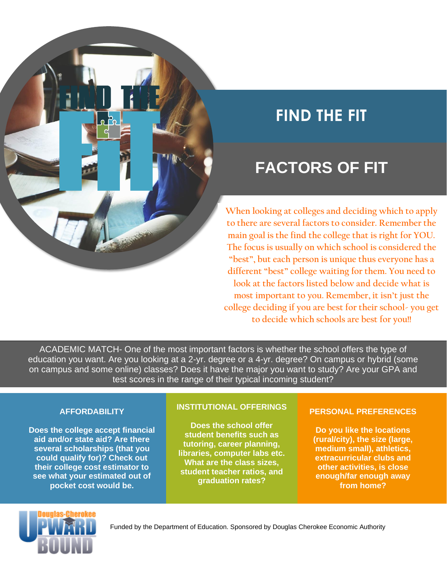

# **FIND THE FIT**

## **FACTORS OF FIT**

**When looking at colleges and deciding which to apply to there are several factors to consider. Remember the main goal is the find the college that is right for YOU. The focus is usually on which school is considered the "best", but each person is unique thus everyone has a different "best" college waiting for them. You need to look at the factors listed below and decide what is most important to you. Remember, it isn't just the college deciding if you are best for their school- you get to decide which schools are best for you!!** 

ACADEMIC MATCH- One of the most important factors is whether the school offers the type of education you want. Are you looking at a 2-yr. degree or a 4-yr. degree? On campus or hybrid (some on campus and some online) classes? Does it have the major you want to study? Are your GPA and test scores in the range of their typical incoming student?

### **AFFORDABILITY**

**Does the college accept financial aid and/or state aid? Are there several scholarships (that you could qualify for)? Check out their college cost estimator to see what your estimated out of pocket cost would be.**

#### **INSTITUTIONAL OFFERINGS**

**Does the school offer student benefits such as tutoring, career planning, libraries, computer labs etc. What are the class sizes, student teacher ratios, and graduation rates?**

### **PERSONAL PREFERENCES**

**Do you like the locations (rural/city), the size (large, medium small), athletics, extracurricular clubs and other activities, is close enough/far enough away from home?**

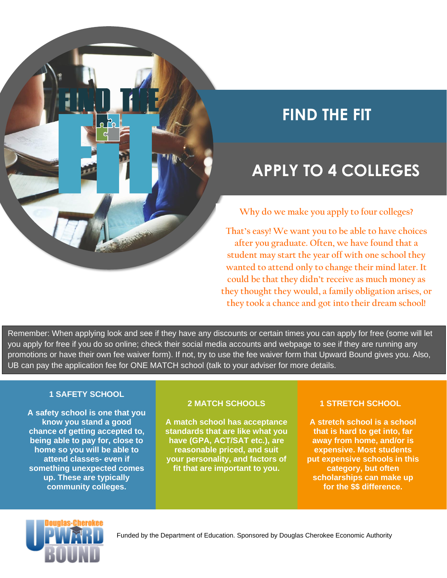

## **FIND THE FIT**

## **APPLY TO 4 COLLEGES**

**Why do we make you apply to four colleges?**

**That's easy! We want you to be able to have choices after you graduate. Often, we have found that a student may start the year off with one school they wanted to attend only to change their mind later. It could be that they didn't receive as much money as they thought they would, a family obligation arises, or they took a chance and got into their dream school!**

Remember: When applying look and see if they have any discounts or certain times you can apply for free (some will let you apply for free if you do so online; check their social media accounts and webpage to see if they are running any promotions or have their own fee waiver form). If not, try to use the fee waiver form that Upward Bound gives you. Also, UB can pay the application fee for ONE MATCH school (talk to your adviser for more details.

### **1 SAFETY SCHOOL**

**A safety school is one that you know you stand a good chance of getting accepted to, being able to pay for, close to home so you will be able to attend classes- even if something unexpected comes up. These are typically community colleges.**

#### **2 MATCH SCHOOLS**

**A match school has acceptance standards that are like what you have (GPA, ACT/SAT etc.), are reasonable priced, and suit your personality, and factors of fit that are important to you.**

### **1 STRETCH SCHOOL**

**A stretch school is a school that is hard to get into, far away from home, and/or is expensive. Most students put expensive schools in this category, but often scholarships can make up for the \$\$ difference.**